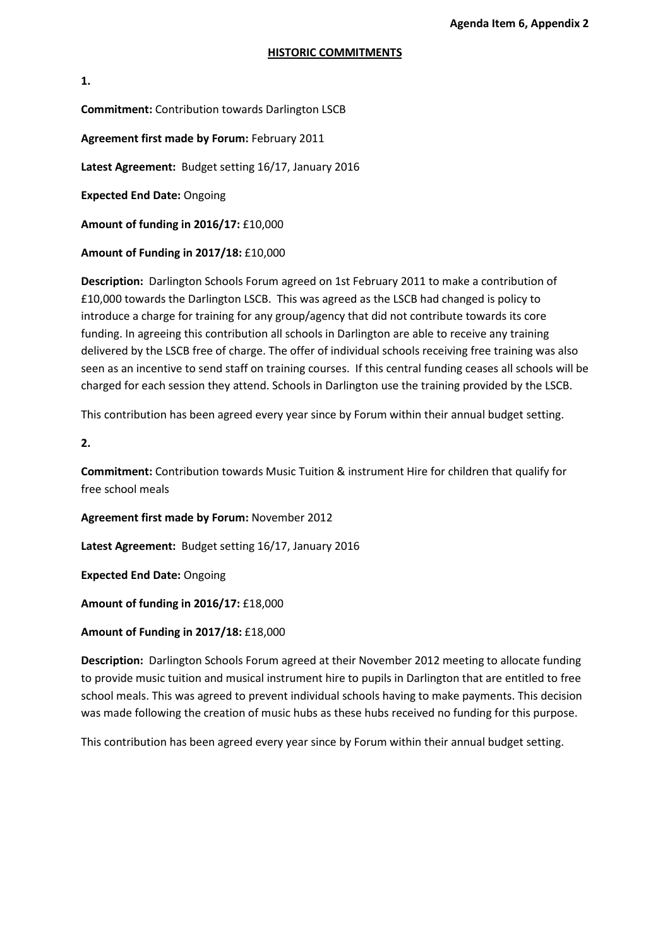## **HISTORIC COMMITMENTS**

**1. Commitment:** Contribution towards Darlington LSCB **Agreement first made by Forum:** February 2011

**Latest Agreement:** Budget setting 16/17, January 2016

**Expected End Date:** Ongoing

**Amount of funding in 2016/17:** £10,000

**Amount of Funding in 2017/18:** £10,000

**Description:** Darlington Schools Forum agreed on 1st February 2011 to make a contribution of £10,000 towards the Darlington LSCB. This was agreed as the LSCB had changed is policy to introduce a charge for training for any group/agency that did not contribute towards its core funding. In agreeing this contribution all schools in Darlington are able to receive any training delivered by the LSCB free of charge. The offer of individual schools receiving free training was also seen as an incentive to send staff on training courses. If this central funding ceases all schools will be charged for each session they attend. Schools in Darlington use the training provided by the LSCB.

This contribution has been agreed every year since by Forum within their annual budget setting.

**2.**

**Commitment:** Contribution towards Music Tuition & instrument Hire for children that qualify for free school meals

**Agreement first made by Forum:** November 2012

**Latest Agreement:** Budget setting 16/17, January 2016

**Expected End Date:** Ongoing

**Amount of funding in 2016/17:** £18,000

**Amount of Funding in 2017/18:** £18,000

**Description:** Darlington Schools Forum agreed at their November 2012 meeting to allocate funding to provide music tuition and musical instrument hire to pupils in Darlington that are entitled to free school meals. This was agreed to prevent individual schools having to make payments. This decision was made following the creation of music hubs as these hubs received no funding for this purpose.

This contribution has been agreed every year since by Forum within their annual budget setting.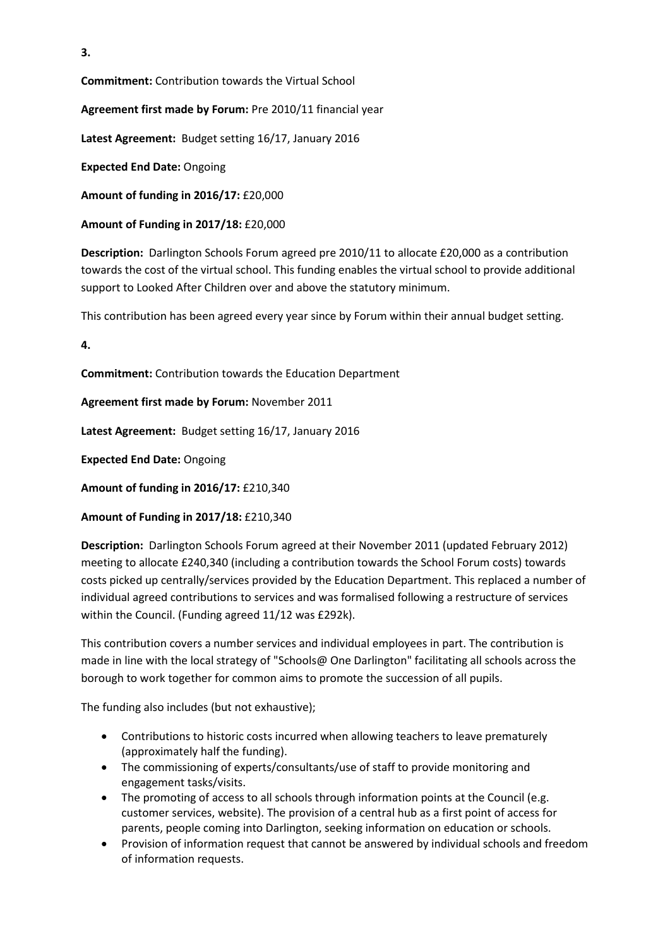**3.**

**Commitment:** Contribution towards the Virtual School

**Agreement first made by Forum:** Pre 2010/11 financial year

**Latest Agreement:** Budget setting 16/17, January 2016

**Expected End Date:** Ongoing

**Amount of funding in 2016/17:** £20,000

**Amount of Funding in 2017/18:** £20,000

**Description:** Darlington Schools Forum agreed pre 2010/11 to allocate £20,000 as a contribution towards the cost of the virtual school. This funding enables the virtual school to provide additional support to Looked After Children over and above the statutory minimum.

This contribution has been agreed every year since by Forum within their annual budget setting.

**4.**

**Commitment:** Contribution towards the Education Department

**Agreement first made by Forum:** November 2011

**Latest Agreement:** Budget setting 16/17, January 2016

**Expected End Date:** Ongoing

**Amount of funding in 2016/17:** £210,340

**Amount of Funding in 2017/18:** £210,340

**Description:** Darlington Schools Forum agreed at their November 2011 (updated February 2012) meeting to allocate £240,340 (including a contribution towards the School Forum costs) towards costs picked up centrally/services provided by the Education Department. This replaced a number of individual agreed contributions to services and was formalised following a restructure of services within the Council. (Funding agreed 11/12 was £292k).

This contribution covers a number services and individual employees in part. The contribution is made in line with the local strategy of "Schools@ One Darlington" facilitating all schools across the borough to work together for common aims to promote the succession of all pupils.

The funding also includes (but not exhaustive);

- Contributions to historic costs incurred when allowing teachers to leave prematurely (approximately half the funding).
- The commissioning of experts/consultants/use of staff to provide monitoring and engagement tasks/visits.
- The promoting of access to all schools through information points at the Council (e.g. customer services, website). The provision of a central hub as a first point of access for parents, people coming into Darlington, seeking information on education or schools.
- Provision of information request that cannot be answered by individual schools and freedom of information requests.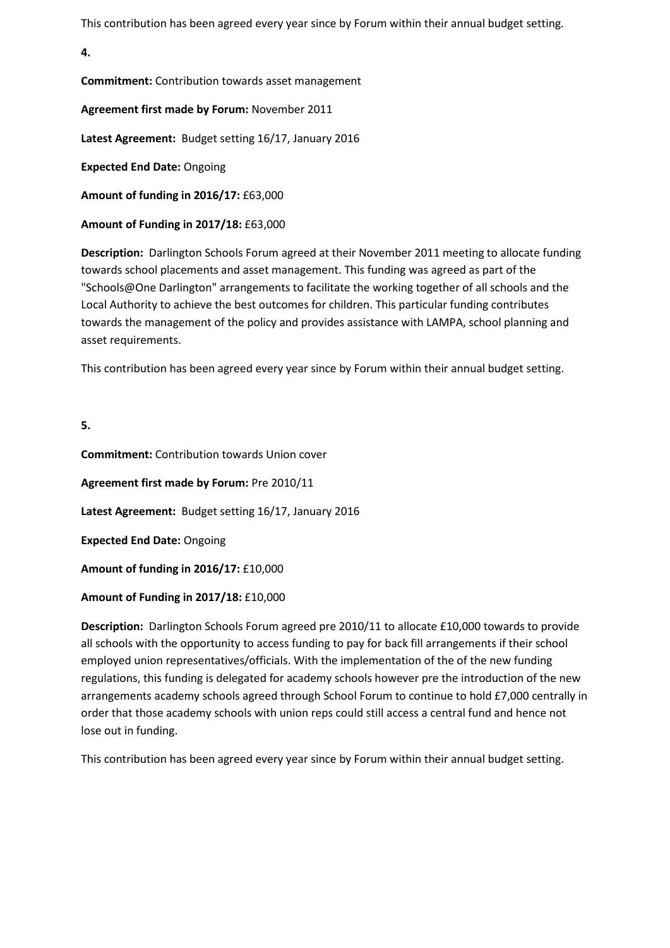This contribution has been agreed every year since by Forum within their annual budget setting.

**4.**

**Commitment:** Contribution towards asset management

**Agreement first made by Forum:** November 2011

**Latest Agreement:** Budget setting 16/17, January 2016

**Expected End Date:** Ongoing

**Amount of funding in 2016/17:** £63,000

**Amount of Funding in 2017/18:** £63,000

**Description:** Darlington Schools Forum agreed at their November 2011 meeting to allocate funding towards school placements and asset management. This funding was agreed as part of the "Schools@One Darlington" arrangements to facilitate the working together of all schools and the Local Authority to achieve the best outcomes for children. This particular funding contributes towards the management of the policy and provides assistance with LAMPA, school planning and asset requirements.

This contribution has been agreed every year since by Forum within their annual budget setting.

**5.**

**Commitment:** Contribution towards Union cover

**Agreement first made by Forum:** Pre 2010/11

**Latest Agreement:** Budget setting 16/17, January 2016

**Expected End Date:** Ongoing

**Amount of funding in 2016/17:** £10,000

## **Amount of Funding in 2017/18:** £10,000

**Description:** Darlington Schools Forum agreed pre 2010/11 to allocate £10,000 towards to provide all schools with the opportunity to access funding to pay for back fill arrangements if their school employed union representatives/officials. With the implementation of the of the new funding regulations, this funding is delegated for academy schools however pre the introduction of the new arrangements academy schools agreed through School Forum to continue to hold £7,000 centrally in order that those academy schools with union reps could still access a central fund and hence not lose out in funding.

This contribution has been agreed every year since by Forum within their annual budget setting.